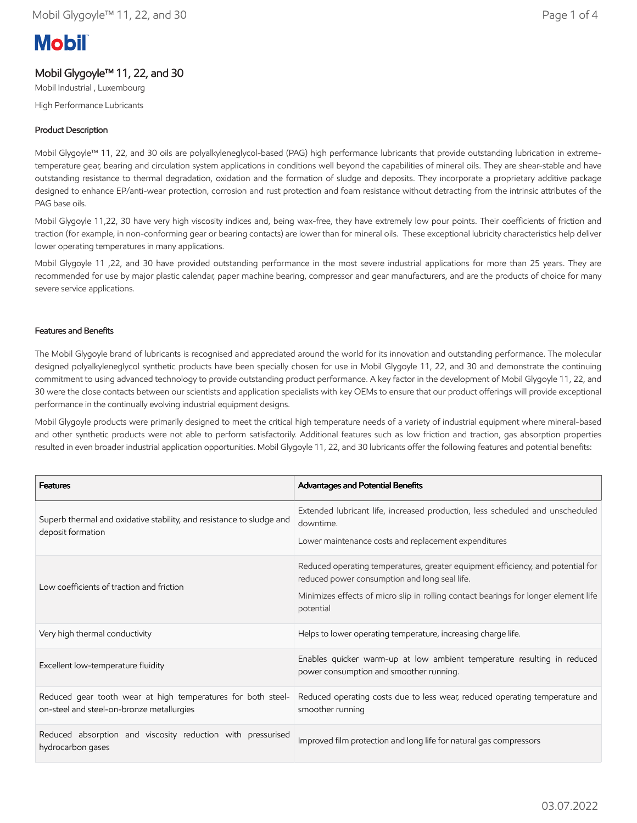# **Mobil**

## Mobil Glygoyle™ 11, 22, and 30

Mobil Industrial , Luxembourg High Performance Lubricants

## Product Description

Mobil Glygoyle™ 11, 22, and 30 oils are polyalkyleneglycol-based (PAG) high performance lubricants that provide outstanding lubrication in extremetemperature gear, bearing and circulation system applications in conditions well beyond the capabilities of mineral oils. They are shear-stable and have outstanding resistance to thermal degradation, oxidation and the formation of sludge and deposits. They incorporate a proprietary additive package designed to enhance EP/anti-wear protection, corrosion and rust protection and foam resistance without detracting from the intrinsic attributes of the PAG base oils.

Mobil Glygoyle 11,22, 30 have very high viscosity indices and, being wax-free, they have extremely low pour points. Their coefficients of friction and traction (for example, in non-conforming gear or bearing contacts) are lower than for mineral oils. These exceptional lubricity characteristics help deliver lower operating temperatures in many applications.

Mobil Glygoyle 11 ,22, and 30 have provided outstanding performance in the most severe industrial applications for more than 25 years. They are recommended for use by major plastic calendar, paper machine bearing, compressor and gear manufacturers, and are the products of choice for many severe service applications.

## Features and Benefits

The Mobil Glygoyle brand of lubricants is recognised and appreciated around the world for its innovation and outstanding performance. The molecular designed polyalkyleneglycol synthetic products have been specially chosen for use in Mobil Glygoyle 11, 22, and 30 and demonstrate the continuing commitment to using advanced technology to provide outstanding product performance. A key factor in the development of Mobil Glygoyle 11, 22, and 30 were the close contacts between our scientists and application specialists with key OEMs to ensure that our product offerings will provide exceptional performance in the continually evolving industrial equipment designs.

Mobil Glygoyle products were primarily designed to meet the critical high temperature needs of a variety of industrial equipment where mineral-based and other synthetic products were not able to perform satisfactorily. Additional features such as low friction and traction, gas absorption properties resulted in even broader industrial application opportunities. Mobil Glygoyle 11, 22, and 30 lubricants offer the following features and potential benefits:

| <b>Features</b>                                                                                           | Advantages and Potential Benefits                                                                                                                                                                                                    |
|-----------------------------------------------------------------------------------------------------------|--------------------------------------------------------------------------------------------------------------------------------------------------------------------------------------------------------------------------------------|
| Superb thermal and oxidative stability, and resistance to sludge and<br>deposit formation                 | Extended lubricant life, increased production, less scheduled and unscheduled<br>downtime.<br>Lower maintenance costs and replacement expenditures                                                                                   |
| Low coefficients of traction and friction                                                                 | Reduced operating temperatures, greater equipment efficiency, and potential for<br>reduced power consumption and long seal life.<br>Minimizes effects of micro slip in rolling contact bearings for longer element life<br>potential |
| Very high thermal conductivity                                                                            | Helps to lower operating temperature, increasing charge life.                                                                                                                                                                        |
| Excellent low-temperature fluidity                                                                        | Enables quicker warm-up at low ambient temperature resulting in reduced<br>power consumption and smoother running.                                                                                                                   |
| Reduced gear tooth wear at high temperatures for both steel-<br>on-steel and steel-on-bronze metallurgies | Reduced operating costs due to less wear, reduced operating temperature and<br>smoother running                                                                                                                                      |
| Reduced absorption and viscosity reduction with pressurised<br>hydrocarbon gases                          | Improved film protection and long life for natural gas compressors                                                                                                                                                                   |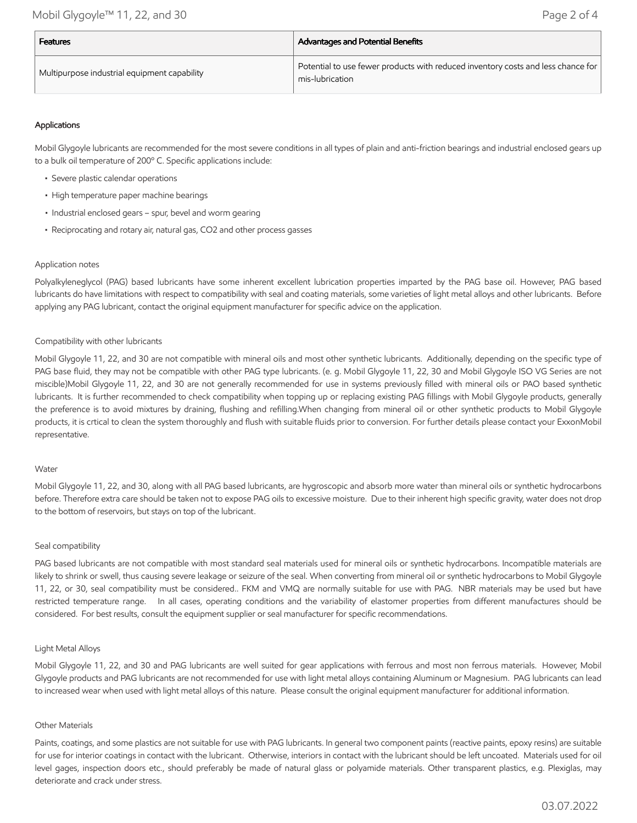| <b>Features</b>                              | <b>Advantages and Potential Benefits</b>                                                            |  |
|----------------------------------------------|-----------------------------------------------------------------------------------------------------|--|
| Multipurpose industrial equipment capability | Potential to use fewer products with reduced inventory costs and less chance for<br>mis-lubrication |  |

## Applications

Mobil Glygoyle lubricants are recommended for the most severe conditions in all types of plain and anti-friction bearings and industrial enclosed gears up to a bulk oil temperature of 200º C. Specific applications include:

- Severe plastic calendar operations
- High temperature paper machine bearings
- Industrial enclosed gears spur, bevel and worm gearing
- Reciprocating and rotary air, natural gas, CO2 and other process gasses

#### Application notes

Polyalkyleneglycol (PAG) based lubricants have some inherent excellent lubrication properties imparted by the PAG base oil. However, PAG based lubricants do have limitations with respect to compatibility with seal and coating materials, some varieties of light metal alloys and other lubricants. Before applying any PAG lubricant, contact the original equipment manufacturer for specific advice on the application.

#### Compatibility with other lubricants

Mobil Glygoyle 11, 22, and 30 are not compatible with mineral oils and most other synthetic lubricants. Additionally, depending on the specific type of PAG base fluid, they may not be compatible with other PAG type lubricants. (e. g. Mobil Glygoyle 11, 22, 30 and Mobil Glygoyle ISO VG Series are not miscible)Mobil Glygoyle 11, 22, and 30 are not generally recommended for use in systems previously filled with mineral oils or PAO based synthetic lubricants. It is further recommended to check compatibility when topping up or replacing existing PAG fillings with Mobil Glygoyle products, generally the preference is to avoid mixtures by draining, flushing and refilling.When changing from mineral oil or other synthetic products to Mobil Glygoyle products, it is crtical to clean the system thoroughly and flush with suitable fluids prior to conversion. For further details please contact your ExxonMobil representative.

#### Water

Mobil Glygoyle 11, 22, and 30, along with all PAG based lubricants, are hygroscopic and absorb more water than mineral oils or synthetic hydrocarbons before. Therefore extra care should be taken not to expose PAG oils to excessive moisture. Due to their inherent high specific gravity, water does not drop to the bottom of reservoirs, but stays on top of the lubricant.

#### Seal compatibility

PAG based lubricants are not compatible with most standard seal materials used for mineral oils or synthetic hydrocarbons. Incompatible materials are likely to shrink or swell, thus causing severe leakage or seizure of the seal. When converting from mineral oil or synthetic hydrocarbons to Mobil Glygoyle 11, 22, or 30, seal compatibility must be considered.. FKM and VMQ are normally suitable for use with PAG. NBR materials may be used but have restricted temperature range. In all cases, operating conditions and the variability of elastomer properties from different manufactures should be considered. For best results, consult the equipment supplier or seal manufacturer for specific recommendations.

#### Light Metal Alloys

Mobil Glygoyle 11, 22, and 30 and PAG lubricants are well suited for gear applications with ferrous and most non ferrous materials. However, Mobil Glygoyle products and PAG lubricants are not recommended for use with light metal alloys containing Aluminum or Magnesium. PAG lubricants can lead to increased wear when used with light metal alloys of this nature. Please consult the original equipment manufacturer for additional information.

#### Other Materials

Paints, coatings, and some plastics are not suitable for use with PAG lubricants. In general two component paints (reactive paints, epoxy resins) are suitable for use for interior coatings in contact with the lubricant. Otherwise, interiors in contact with the lubricant should be left uncoated. Materials used for oil level gages, inspection doors etc., should preferably be made of natural glass or polyamide materials. Other transparent plastics, e.g. Plexiglas, may deteriorate and crack under stress.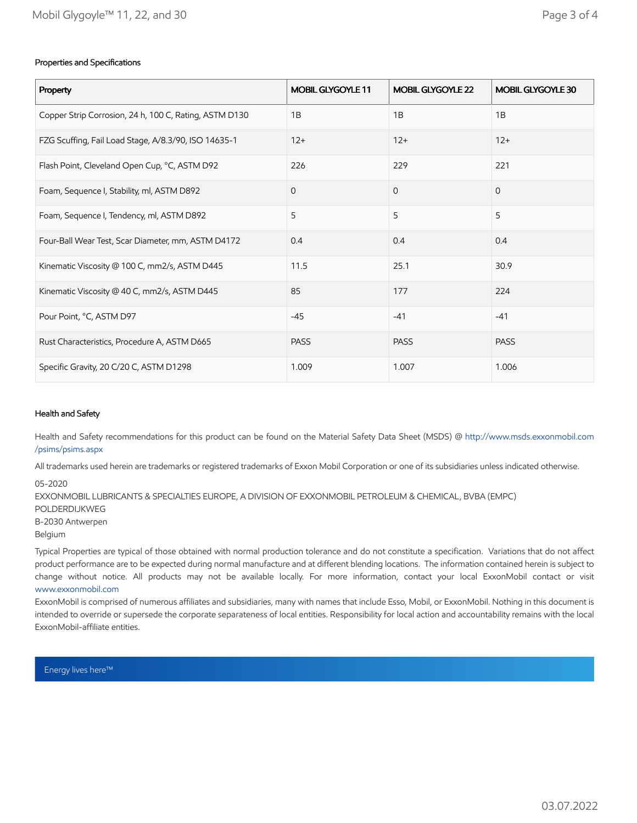### Properties and Specifications

| Property                                               | MOBIL GLYGOYLE 11 | MOBIL GLYGOYLE 22 | MOBIL GLYGOYLE 30 |
|--------------------------------------------------------|-------------------|-------------------|-------------------|
| Copper Strip Corrosion, 24 h, 100 C, Rating, ASTM D130 | 1B                | 1B                | 1B                |
| FZG Scuffing, Fail Load Stage, A/8.3/90, ISO 14635-1   | $12+$             | $12+$             | $12+$             |
| Flash Point, Cleveland Open Cup, °C, ASTM D92          | 226               | 229               | 221               |
| Foam, Sequence I, Stability, ml, ASTM D892             | $\mathbf 0$       | $\mathbf 0$       | $\mathbf{0}$      |
| Foam, Sequence I, Tendency, ml, ASTM D892              | 5                 | 5                 | 5                 |
| Four-Ball Wear Test, Scar Diameter, mm, ASTM D4172     | 0.4               | 0.4               | 0.4               |
| Kinematic Viscosity @ 100 C, mm2/s, ASTM D445          | 11.5              | 25.1              | 30.9              |
| Kinematic Viscosity @ 40 C, mm2/s, ASTM D445           | 85                | 177               | 224               |
| Pour Point, °C, ASTM D97                               | $-45$             | $-41$             | $-41$             |
| Rust Characteristics, Procedure A, ASTM D665           | <b>PASS</b>       | <b>PASS</b>       | <b>PASS</b>       |
| Specific Gravity, 20 C/20 C, ASTM D1298                | 1.009             | 1.007             | 1.006             |

#### Health and Safety

Health and Safety recommendations for this product can be found on the Material Safety Data Sheet (MSDS) @ [http://www.msds.exxonmobil.com](http://www.msds.exxonmobil.com/psims/psims.aspx) /psims/psims.aspx

All trademarks used herein are trademarks or registered trademarks of Exxon Mobil Corporation or one of its subsidiaries unless indicated otherwise.

05-2020

EXXONMOBIL LUBRICANTS & SPECIALTIES EUROPE, A DIVISION OF EXXONMOBIL PETROLEUM & CHEMICAL, BVBA (EMPC) POLDERDIJKWEG B-2030 Antwerpen Belgium

Typical Properties are typical of those obtained with normal production tolerance and do not constitute a specification. Variations that do not affect product performance are to be expected during normal manufacture and at different blending locations. The information contained herein is subject to change without notice. All products may not be available locally. For more information, contact your local ExxonMobil contact or visit [www.exxonmobil.com](http://www.exxonmobil.com/)

ExxonMobil is comprised of numerous affiliates and subsidiaries, many with names that include Esso, Mobil, or ExxonMobil. Nothing in this document is intended to override or supersede the corporate separateness of local entities. Responsibility for local action and accountability remains with the local ExxonMobil-affiliate entities.

Energy lives here™